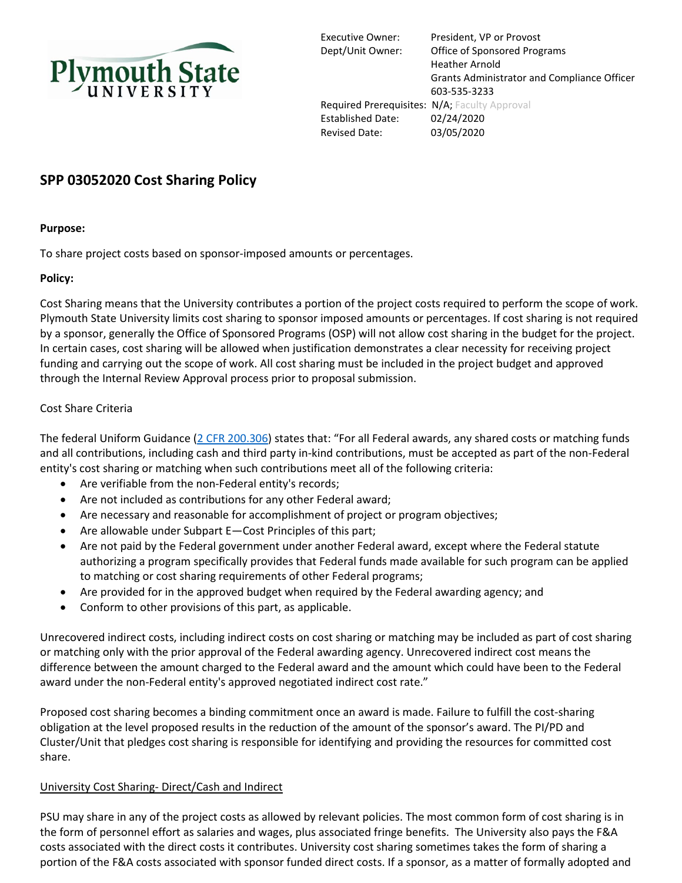

Executive Owner: President, VP or Provost Dept/Unit Owner: Office of Sponsored Programs Heather Arnold Grants Administrator and Compliance Officer 603-535-3233 Required Prerequisites: N/A; Faculty Approval Established Date: 02/24/2020 Revised Date: 03/05/2020

# **SPP 03052020 Cost Sharing Policy**

#### **Purpose:**

To share project costs based on sponsor-imposed amounts or percentages.

#### **Policy:**

Cost Sharing means that the University contributes a portion of the project costs required to perform the scope of work. Plymouth State University limits cost sharing to sponsor imposed amounts or percentages. If cost sharing is not required by a sponsor, generally the Office of Sponsored Programs (OSP) will not allow cost sharing in the budget for the project. In certain cases, cost sharing will be allowed when justification demonstrates a clear necessity for receiving project funding and carrying out the scope of work. All cost sharing must be included in the project budget and approved through the Internal Review Approval process prior to proposal submission.

#### Cost Share Criteria

The federal Uniform Guidance [\(2 CFR 200.306\)](https://www.ecfr.gov/cgi-bin/text-idx?SID=c16296aecfef71d582e0634cf6658cf1&node=2:1.1.2.2.1.4.29.7&rgn=div8) states that: "For all Federal awards, any shared costs or matching funds and all contributions, including cash and third party in-kind contributions, must be accepted as part of the non-Federal entity's cost sharing or matching when such contributions meet all of the following criteria:

- Are verifiable from the non-Federal entity's records;
- Are not included as contributions for any other Federal award;
- Are necessary and reasonable for accomplishment of project or program objectives;
- Are allowable under Subpart E—Cost Principles of this part;
- Are not paid by the Federal government under another Federal award, except where the Federal statute authorizing a program specifically provides that Federal funds made available for such program can be applied to matching or cost sharing requirements of other Federal programs;
- Are provided for in the approved budget when required by the Federal awarding agency; and
- Conform to other provisions of this part, as applicable.

Unrecovered indirect costs, including indirect costs on cost sharing or matching may be included as part of cost sharing or matching only with the prior approval of the Federal awarding agency. Unrecovered indirect cost means the difference between the amount charged to the Federal award and the amount which could have been to the Federal award under the non-Federal entity's approved negotiated indirect cost rate."

Proposed cost sharing becomes a binding commitment once an award is made. Failure to fulfill the cost-sharing obligation at the level proposed results in the reduction of the amount of the sponsor's award. The PI/PD and Cluster/Unit that pledges cost sharing is responsible for identifying and providing the resources for committed cost share.

#### University Cost Sharing- Direct/Cash and Indirect

PSU may share in any of the project costs as allowed by relevant policies. The most common form of cost sharing is in the form of personnel effort as salaries and wages, plus associated fringe benefits. The University also pays the F&A costs associated with the direct costs it contributes. University cost sharing sometimes takes the form of sharing a portion of the F&A costs associated with sponsor funded direct costs. If a sponsor, as a matter of formally adopted and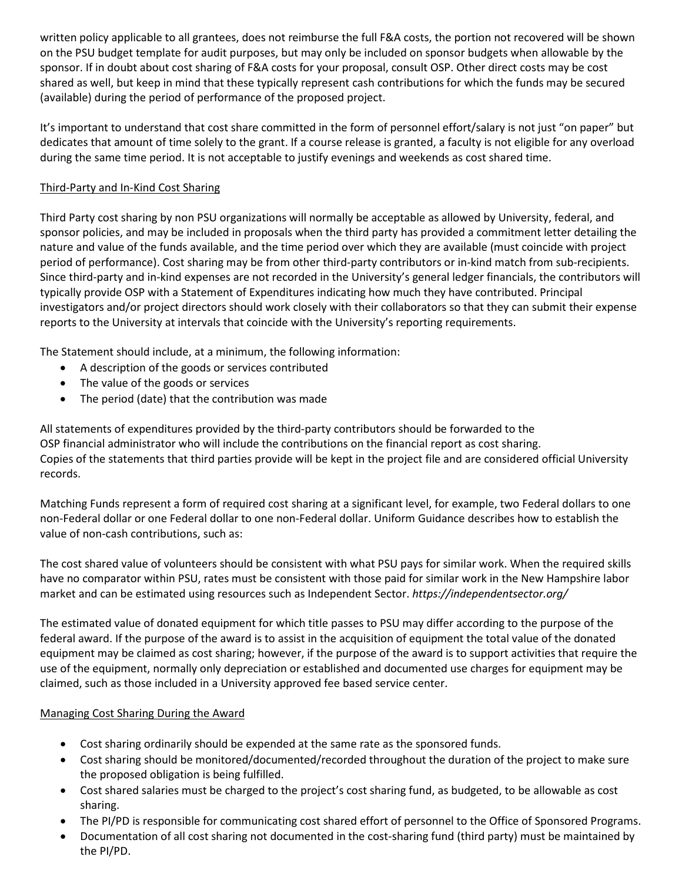written policy applicable to all grantees, does not reimburse the full F&A costs, the portion not recovered will be shown on the PSU budget template for audit purposes, but may only be included on sponsor budgets when allowable by the sponsor. If in doubt about cost sharing of F&A costs for your proposal, consult OSP. Other direct costs may be cost shared as well, but keep in mind that these typically represent cash contributions for which the funds may be secured (available) during the period of performance of the proposed project.

It's important to understand that cost share committed in the form of personnel effort/salary is not just "on paper" but dedicates that amount of time solely to the grant. If a course release is granted, a faculty is not eligible for any overload during the same time period. It is not acceptable to justify evenings and weekends as cost shared time.

## Third-Party and In-Kind Cost Sharing

Third Party cost sharing by non PSU organizations will normally be acceptable as allowed by University, federal, and sponsor policies, and may be included in proposals when the third party has provided a commitment letter detailing the nature and value of the funds available, and the time period over which they are available (must coincide with project period of performance). Cost sharing may be from other third-party contributors or in-kind match from sub-recipients. Since third-party and in-kind expenses are not recorded in the University's general ledger financials, the contributors will typically provide OSP with a Statement of Expenditures indicating how much they have contributed. Principal investigators and/or project directors should work closely with their collaborators so that they can submit their expense reports to the University at intervals that coincide with the University's reporting requirements.

The Statement should include, at a minimum, the following information:

- A description of the goods or services contributed
- The value of the goods or services
- The period (date) that the contribution was made

All statements of expenditures provided by the third-party contributors should be forwarded to the OSP financial administrator who will include the contributions on the financial report as cost sharing. Copies of the statements that third parties provide will be kept in the project file and are considered official University records.

Matching Funds represent a form of required cost sharing at a significant level, for example, two Federal dollars to one non-Federal dollar or one Federal dollar to one non-Federal dollar. Uniform Guidance describes how to establish the value of non-cash contributions, such as:

The cost shared value of volunteers should be consistent with what PSU pays for similar work. When the required skills have no comparator within PSU, rates must be consistent with those paid for similar work in the New Hampshire labor market and can be estimated using resources such as Independent Sector. *https://independentsector.org/*

The estimated value of donated equipment for which title passes to PSU may differ according to the purpose of the federal award. If the purpose of the award is to assist in the acquisition of equipment the total value of the donated equipment may be claimed as cost sharing; however, if the purpose of the award is to support activities that require the use of the equipment, normally only depreciation or established and documented use charges for equipment may be claimed, such as those included in a University approved fee based service center.

### Managing Cost Sharing During the Award

- Cost sharing ordinarily should be expended at the same rate as the sponsored funds.
- Cost sharing should be monitored/documented/recorded throughout the duration of the project to make sure the proposed obligation is being fulfilled.
- Cost shared salaries must be charged to the project's cost sharing fund, as budgeted, to be allowable as cost sharing.
- The PI/PD is responsible for communicating cost shared effort of personnel to the Office of Sponsored Programs.
- Documentation of all cost sharing not documented in the cost-sharing fund (third party) must be maintained by the PI/PD.